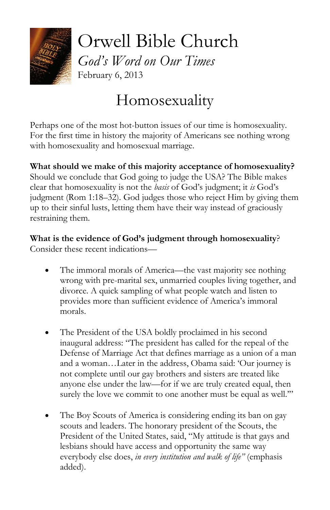

Orwell Bible Church *God's Word on Our Times* February 6, 2013

## Homosexuality

Perhaps one of the most hot-button issues of our time is homosexuality. For the first time in history [the majority of Americans see nothing wrong](http://www.christiancentury.org/article/2013-01/fewer-americans-view-homosexuality-sin) with homosexuality and homosexual marriage.

**What should we make of this majority acceptance of homosexuality?**

Should we conclude that God going to judge the USA? The Bible makes clear that homosexuality is not the *basis* of God's judgment; it *is* God's judgment (Rom 1:18–32). God judges those who reject Him by giving them up to their sinful lusts, letting them have their way instead of graciously restraining them.

**What is the evidence of God's judgment through homosexuality**? Consider these recent indications—

- The immoral morals of America—the vast majority see nothing wrong with pre-marital sex, unmarried couples living together, and divorce. A quick sampling of what people watch and listen to provides more than sufficient evidence of America's immoral morals.
- The President of the USA boldly proclaimed in his second inaugural address: "The president has called for the repeal of the Defense of Marriage Act that defines marriage as a union of a man and a woman…Later in the address, Obama said: 'Our journey is not complete until our gay brothers and sisters are treated like anyone else under the law—for if we are truly created equal, then surely the love we commit to one another must be equal as well."
- The Boy Scouts of America is considering ending its ban on gay scouts and leaders. The honorary president of the Scouts, the President of the United States, said, "My attitude is that gays and lesbians should have access and opportunity the same way everybody else does, *in every institution and walk of life"* (emphasis added).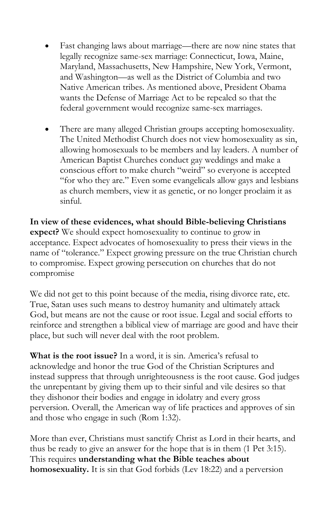- Fast changing laws about marriage—there are now nine states that legally recognize same-sex marriage: Connecticut, Iowa, Maine, Maryland, Massachusetts, New Hampshire, New York, Vermont, and Washington—as well as the District of Columbia and two Native American tribes. As mentioned above, President Obama wants the Defense of Marriage Act to be repealed so that the federal government would recognize same-sex marriages.
- There are many alleged Christian groups accepting homosexuality. The United Methodist Church does not view homosexuality as sin, allowing homosexuals to be members and lay leaders. A number of American Baptist Churches conduct gay weddings and make a conscious effort to make church "weird" so everyone is accepted "for who they are." Even some evangelicals allow gays and lesbians as church members, view it as genetic, or no longer proclaim it as sinful.

**In view of these evidences, what should Bible-believing Christians expect?** We should expect homosexuality to continue to grow in acceptance. Expect advocates of homosexuality to press their views in the name of "tolerance." Expect growing pressure on the true Christian church to compromise. Expect growing persecution on churches that do not compromise

We did not get to this point because of the media, rising divorce rate, etc. True, Satan uses such means to destroy humanity and ultimately attack God, but means are not the cause or root issue. Legal and social efforts to reinforce and strengthen a biblical view of marriage are good and have their place, but such will never deal with the root problem.

**What is the root issue?** In a word, it is sin. America's refusal to acknowledge and honor the true God of the Christian Scriptures and instead suppress that through unrighteousness is the root cause. God judges the unrepentant by giving them up to their sinful and vile desires so that they dishonor their bodies and engage in idolatry and every gross perversion. Overall, the American way of life practices and approves of sin and those who engage in such (Rom 1:32).

More than ever, Christians must sanctify Christ as Lord in their hearts, and thus be ready to give an answer for the hope that is in them (1 Pet 3:15). This requires **understanding what the Bible teaches about homosexuality.** It is sin that God forbids (Lev 18:22) and a perversion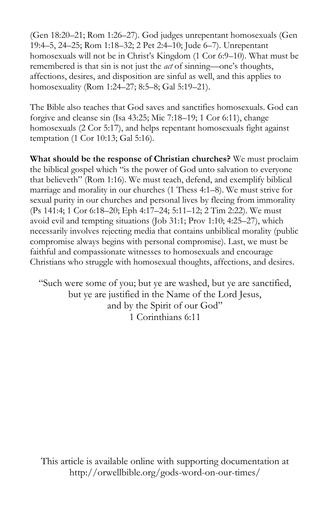(Gen 18:20–21; Rom 1:26–27). God judges unrepentant homosexuals (Gen 19:4–5, 24–25; Rom 1:18–32; 2 Pet 2:4–10; Jude 6–7). Unrepentant homosexuals will not be in Christ's Kingdom (1 Cor 6:9–10). What must be remembered is that sin is not just the *act* of sinning—one's thoughts, affections, desires, and disposition are sinful as well, and this applies to homosexuality (Rom 1:24–27; 8:5–8; Gal 5:19–21).

The Bible also teaches that God saves and sanctifies homosexuals. God can forgive and cleanse sin (Isa 43:25; Mic 7:18–19; 1 Cor 6:11), change homosexuals (2 Cor 5:17), and helps repentant homosexuals fight against temptation (1 Cor 10:13; Gal 5:16).

**What should be the response of Christian churches?** We must proclaim the biblical gospel which "is the power of God unto salvation to everyone that believeth" (Rom 1:16). We must teach, defend, and exemplify biblical marriage and morality in our churches (1 Thess 4:1–8). We must strive for sexual purity in our churches and personal lives by fleeing from immorality (Ps 141:4; 1 Cor 6:18–20; Eph 4:17–24; 5:11–12; 2 Tim 2:22). We must avoid evil and tempting situations (Job 31:1; Prov 1:10; 4:25–27), which necessarily involves rejecting media that contains unbiblical morality (public compromise always begins with personal compromise). Last, we must be faithful and compassionate witnesses to homosexuals and encourage Christians who struggle with homosexual thoughts, affections, and desires.

"Such were some of you; but ye are washed, but ye are sanctified, but ye are justified in the Name of the Lord Jesus, and by the Spirit of our God" 1 Corinthians 6:11

This article is available online with supporting documentation at http://orwellbible.org/gods-word-on-our-times/